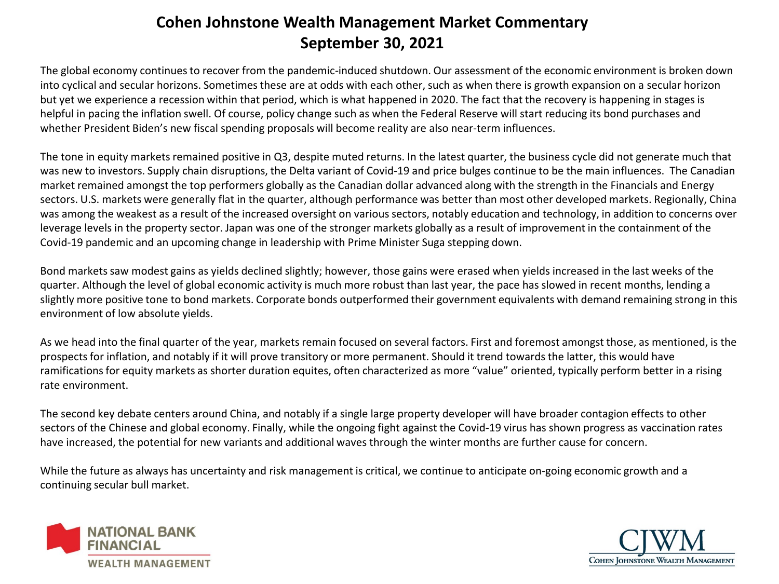## **Cohen Johnstone Wealth Management Market Commentary September 30, 2021**

The global economy continues to recover from the pandemic-induced shutdown. Our assessment of the economic environment is broken down into cyclical and secular horizons. Sometimes these are at odds with each other, such as when there is growth expansion on a secular horizon but yet we experience a recession within that period, which is what happened in 2020. The fact that the recovery is happening in stages is helpful in pacing the inflation swell. Of course, policy change such as when the Federal Reserve will start reducing its bond purchases and whether President Biden's new fiscal spending proposals will become reality are also near-term influences.

The tone in equity markets remained positive in Q3, despite muted returns. In the latest quarter, the business cycle did not generate much that was new to investors. Supply chain disruptions, the Delta variant of Covid-19 and price bulges continue to be the main influences. The Canadian market remained amongst the top performers globally as the Canadian dollar advanced along with the strength in the Financials and Energy sectors. U.S. markets were generally flat in the quarter, although performance was better than most other developed markets. Regionally, China was among the weakest as a result of the increased oversight on various sectors, notably education and technology, in addition to concerns over leverage levels in the property sector. Japan was one of the stronger markets globally as a result of improvement in the containment of the Covid-19 pandemic and an upcoming change in leadership with Prime Minister Suga stepping down.

Bond markets saw modest gains as yields declined slightly; however, those gains were erased when yields increased in the last weeks of the quarter. Although the level of global economic activity is much more robust than last year, the pace has slowed in recent months, lending a slightly more positive tone to bond markets. Corporate bonds outperformed their government equivalents with demand remaining strong in this environment of low absolute yields.

As we head into the final quarter of the year, markets remain focused on several factors. First and foremost amongst those, as mentioned, is the prospects for inflation, and notably if it will prove transitory or more permanent. Should it trend towards the latter, this would have ramifications for equity markets as shorter duration equites, often characterized as more "value" oriented, typically perform better in a rising rate environment.

The second key debate centers around China, and notably if a single large property developer will have broader contagion effects to other sectors of the Chinese and global economy. Finally, while the ongoing fight against the Covid-19 virus has shown progress as vaccination rates have increased, the potential for new variants and additional waves through the winter months are further cause for concern.

While the future as always has uncertainty and risk management is critical, we continue to anticipate on-going economic growth and a continuing secular bull market.